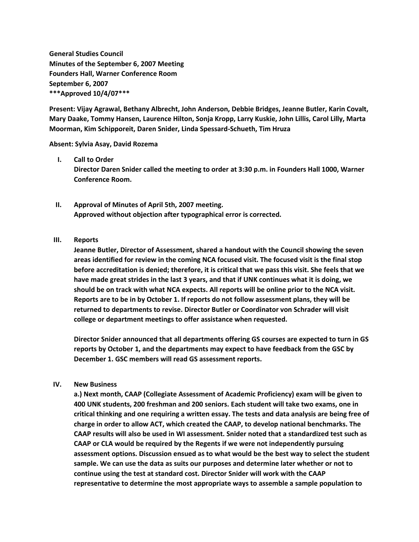**General Studies Council Minutes of the September 6, 2007 Meeting Founders Hall, Warner Conference Room September 6, 2007 \*\*\*Approved 10/4/07\*\*\***

**Present: Vijay Agrawal, Bethany Albrecht, John Anderson, Debbie Bridges, Jeanne Butler, Karin Covalt, Mary Daake, Tommy Hansen, Laurence Hilton, Sonja Kropp, Larry Kuskie, John Lillis, Carol Lilly, Marta Moorman, Kim Schipporeit, Daren Snider, Linda Spessard-Schueth, Tim Hruza**

**Absent: Sylvia Asay, David Rozema**

## **I. Call to Order**

**Director Daren Snider called the meeting to order at 3:30 p.m. in Founders Hall 1000, Warner Conference Room.**

**II. Approval of Minutes of April 5th, 2007 meeting. Approved without objection after typographical error is corrected.**

## **III. Reports**

**Jeanne Butler, Director of Assessment, shared a handout with the Council showing the seven areas identified for review in the coming NCA focused visit. The focused visit is the final stop before accreditation is denied; therefore, it is critical that we pass this visit. She feels that we have made great strides in the last 3 years, and that if UNK continues what it is doing, we should be on track with what NCA expects. All reports will be online prior to the NCA visit. Reports are to be in by October 1. If reports do not follow assessment plans, they will be returned to departments to revise. Director Butler or Coordinator von Schrader will visit college or department meetings to offer assistance when requested.**

**Director Snider announced that all departments offering GS courses are expected to turn in GS reports by October 1, and the departments may expect to have feedback from the GSC by December 1. GSC members will read GS assessment reports.**

## **IV. New Business**

**a.) Next month, CAAP (Collegiate Assessment of Academic Proficiency) exam will be given to 400 UNK students, 200 freshman and 200 seniors. Each student will take two exams, one in critical thinking and one requiring a written essay. The tests and data analysis are being free of charge in order to allow ACT, which created the CAAP, to develop national benchmarks. The CAAP results will also be used in WI assessment. Snider noted that a standardized test such as CAAP or CLA would be required by the Regents if we were not independently pursuing assessment options. Discussion ensued as to what would be the best way to select the student sample. We can use the data as suits our purposes and determine later whether or not to continue using the test at standard cost. Director Snider will work with the CAAP representative to determine the most appropriate ways to assemble a sample population to**